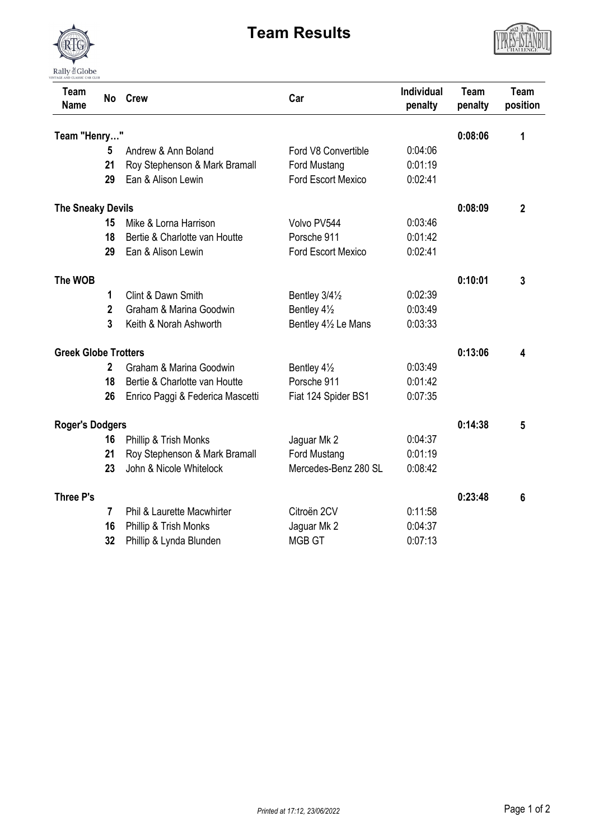

## **Team Results**



| Team<br><b>Name</b>         | <b>No</b>      | <b>Crew</b>                      | Car                       | <b>Individual</b><br>penalty | Team<br>penalty | <b>Team</b><br>position |
|-----------------------------|----------------|----------------------------------|---------------------------|------------------------------|-----------------|-------------------------|
| Team "Henry"                |                |                                  |                           | 0:08:06                      | 1               |                         |
|                             | 5              | Andrew & Ann Boland              | Ford V8 Convertible       | 0:04:06                      |                 |                         |
|                             | 21             | Roy Stephenson & Mark Bramall    | Ford Mustang              | 0:01:19                      |                 |                         |
|                             | 29             | Ean & Alison Lewin               | <b>Ford Escort Mexico</b> | 0:02:41                      |                 |                         |
| <b>The Sneaky Devils</b>    |                |                                  |                           |                              | 0:08:09         | $\overline{2}$          |
|                             | 15             | Mike & Lorna Harrison            | Volvo PV544               | 0:03:46                      |                 |                         |
|                             | 18             | Bertie & Charlotte van Houtte    | Porsche 911               | 0:01:42                      |                 |                         |
|                             | 29             | Ean & Alison Lewin               | <b>Ford Escort Mexico</b> | 0:02:41                      |                 |                         |
| The WOB                     |                |                                  |                           |                              | 0:10:01         | 3                       |
|                             | 1              | Clint & Dawn Smith               | Bentley 3/41/2            | 0:02:39                      |                 |                         |
|                             | $\overline{2}$ | Graham & Marina Goodwin          | Bentley 41/2              | 0:03:49                      |                 |                         |
|                             | 3              | Keith & Norah Ashworth           | Bentley 41/2 Le Mans      | 0:03:33                      |                 |                         |
| <b>Greek Globe Trotters</b> |                |                                  |                           |                              | 0:13:06         | 4                       |
|                             | $\overline{2}$ | Graham & Marina Goodwin          | Bentley 41/2              | 0:03:49                      |                 |                         |
|                             | 18             | Bertie & Charlotte van Houtte    | Porsche 911               | 0:01:42                      |                 |                         |
|                             | 26             | Enrico Paggi & Federica Mascetti | Fiat 124 Spider BS1       | 0:07:35                      |                 |                         |
| <b>Roger's Dodgers</b>      |                |                                  |                           | 0:14:38                      | 5               |                         |
|                             | 16             | Phillip & Trish Monks            | Jaguar Mk 2               | 0:04:37                      |                 |                         |
|                             | 21             | Roy Stephenson & Mark Bramall    | Ford Mustang              | 0:01:19                      |                 |                         |
|                             | 23             | John & Nicole Whitelock          | Mercedes-Benz 280 SL      | 0:08:42                      |                 |                         |
| <b>Three P's</b>            |                |                                  |                           |                              | 0:23:48         | 6                       |
|                             | $\overline{7}$ | Phil & Laurette Macwhirter       | Citroën 2CV               | 0:11:58                      |                 |                         |
|                             | 16             | Phillip & Trish Monks            | Jaguar Mk 2               | 0:04:37                      |                 |                         |
|                             | 32             | Phillip & Lynda Blunden          | <b>MGB GT</b>             | 0:07:13                      |                 |                         |